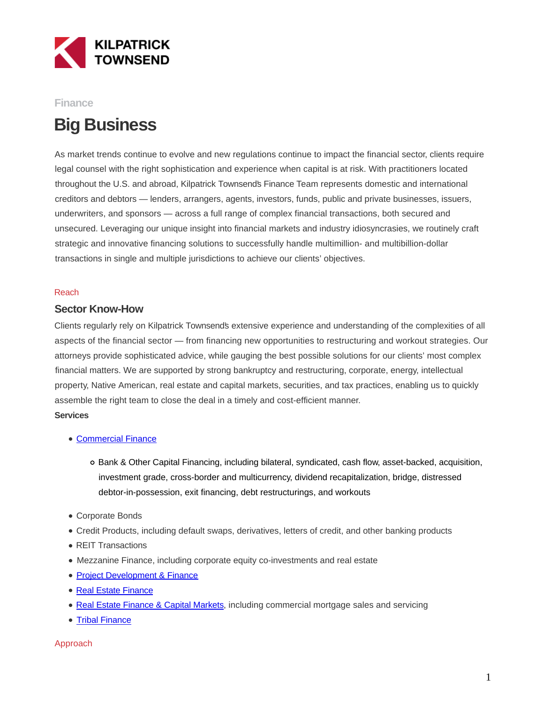

## **Finance**

# **Big Business**

As market trends continue to evolve and new regulations continue to impact the financial sector, clients require legal counsel with the right sophistication and experience when capital is at risk. With practitioners located throughout the U.S. and abroad, Kilpatrick Townsend's Finance Team represents domestic and international creditors and debtors — lenders, arrangers, agents, investors, funds, public and private businesses, issuers, underwriters, and sponsors — across a full range of complex financial transactions, both secured and unsecured. Leveraging our unique insight into financial markets and industry idiosyncrasies, we routinely craft strategic and innovative financing solutions to successfully handle multimillion- and multibillion-dollar transactions in single and multiple jurisdictions to achieve our clients' objectives.

## Reach

## **Sector Know-How**

Clients regularly rely on Kilpatrick Townsend's extensive experience and understanding of the complexities of all aspects of the financial sector — from financing new opportunities to restructuring and workout strategies. Our attorneys provide sophisticated advice, while gauging the best possible solutions for our clients' most complex financial matters. We are supported by strong bankruptcy and restructuring, corporate, energy, intellectual property, Native American, real estate and capital markets, securities, and tax practices, enabling us to quickly assemble the right team to close the deal in a timely and cost-efficient manner. **Services**

- [Commercial Finance](https://www.kilpatricktownsend.com/Services/BusinessFinance/Finance/CommercialFinance)
	- Bank & Other Capital Financing, including bilateral, syndicated, cash flow, asset-backed, acquisition, investment grade, cross-border and multicurrency, dividend recapitalization, bridge, distressed debtor-in-possession, exit financing, debt restructurings, and workouts
- Corporate Bonds
- Credit Products, including default swaps, derivatives, letters of credit, and other banking products
- REIT Transactions
- Mezzanine Finance, including corporate equity co-investments and real estate
- [Project Development & Finance](https://www.kilpatricktownsend.com/Industries/Energy/ProjectDevelopmentFinance)
- [Real Estate Finance](https://www.kilpatricktownsend.com/Services/BusinessFinance/RealEstateFinanceCapitalMarkets/RealEstateFinance)
- [Real Estate Finance & Capital Markets,](https://www.kilpatricktownsend.com/Services/BusinessFinance/RealEstateFinanceCapitalMarkets/RealEstateCapitalMarkets) including commercial mortgage sales and servicing
- [Tribal Finance](https://www.kilpatricktownsend.com/Services/BusinessFinance/Finance/TribalFinance)

### Approach